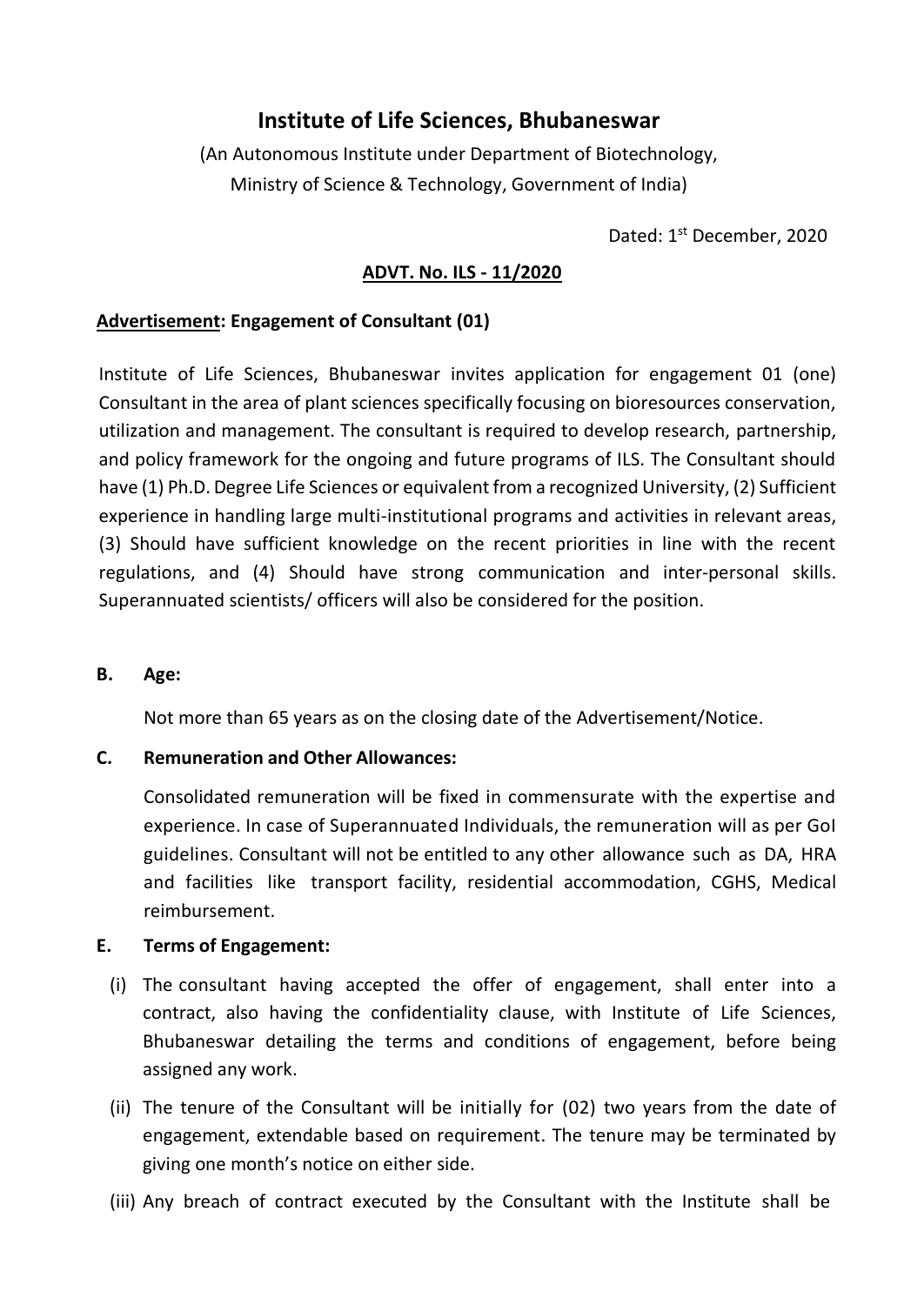# **Institute of Life Sciences, Bhubaneswar**

(An Autonomous Institute under Department of Biotechnology, Ministry of Science & Technology, Government of India)

Dated: 1<sup>st</sup> December, 2020

## **ADVT. No. ILS - 11/2020**

## **Advertisement: Engagement of Consultant (01)**

Institute of Life Sciences, Bhubaneswar invites application for engagement 01 (one) Consultant in the area of plant sciences specifically focusing on bioresources conservation, utilization and management. The consultant is required to develop research, partnership, and policy framework for the ongoing and future programs of ILS. The Consultant should have (1) Ph.D. Degree Life Sciences or equivalent from a recognized University, (2) Sufficient experience in handling large multi-institutional programs and activities in relevant areas, (3) Should have sufficient knowledge on the recent priorities in line with the recent regulations, and (4) Should have strong communication and inter-personal skills. Superannuated scientists/ officers will also be considered for the position.

### **B. Age:**

Not more than 65 years as on the closing date of the Advertisement/Notice.

### **C. Remuneration and Other Allowances:**

Consolidated remuneration will be fixed in commensurate with the expertise and experience. In case of Superannuated Individuals, the remuneration will as per GoI guidelines. Consultant will not be entitled to any other allowance such as DA, HRA and facilities like transport facility, residential accommodation, CGHS, Medical reimbursement.

### **E. Terms of Engagement:**

- (i) The consultant having accepted the offer of engagement, shall enter into a contract, also having the confidentiality clause, with Institute of Life Sciences, Bhubaneswar detailing the terms and conditions of engagement, before being assigned any work.
- (ii) The tenure of the Consultant will be initially for (02) two years from the date of engagement, extendable based on requirement. The tenure may be terminated by giving one month's notice on either side.
- (iii) Any breach of contract executed by the Consultant with the Institute shall be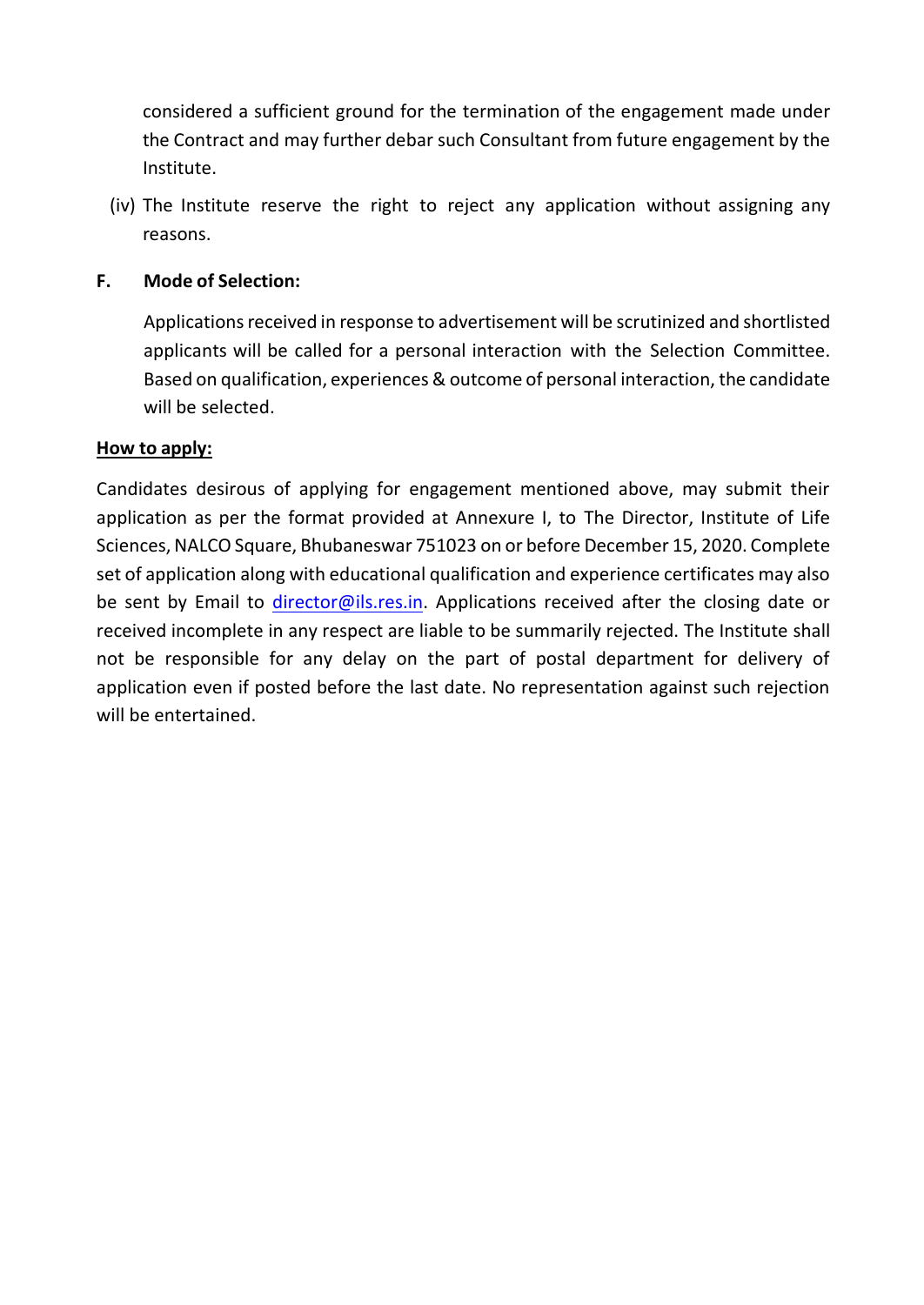considered a sufficient ground for the termination of the engagement made under the Contract and may further debar such Consultant from future engagement by the Institute.

(iv) The Institute reserve the right to reject any application without assigning any reasons.

## **F. Mode of Selection:**

Applications received in response to advertisement will be scrutinized and shortlisted applicants will be called for a personal interaction with the Selection Committee. Based on qualification, experiences & outcome of personal interaction, the candidate will be selected.

## **How to apply:**

Candidates desirous of applying for engagement mentioned above, may submit their application as per the format provided at Annexure I, to The Director, Institute of Life Sciences, NALCO Square, Bhubaneswar 751023 on or before December 15, 2020. Complete set of application along with educational qualification and experience certificates may also be sent by Email to [director@ils.res.in.](mailto:director@ils.res.in) Applications received after the closing date or received incomplete in any respect are liable to be summarily rejected. The Institute shall not be responsible for any delay on the part of postal department for delivery of application even if posted before the last date. No representation against such rejection will be entertained.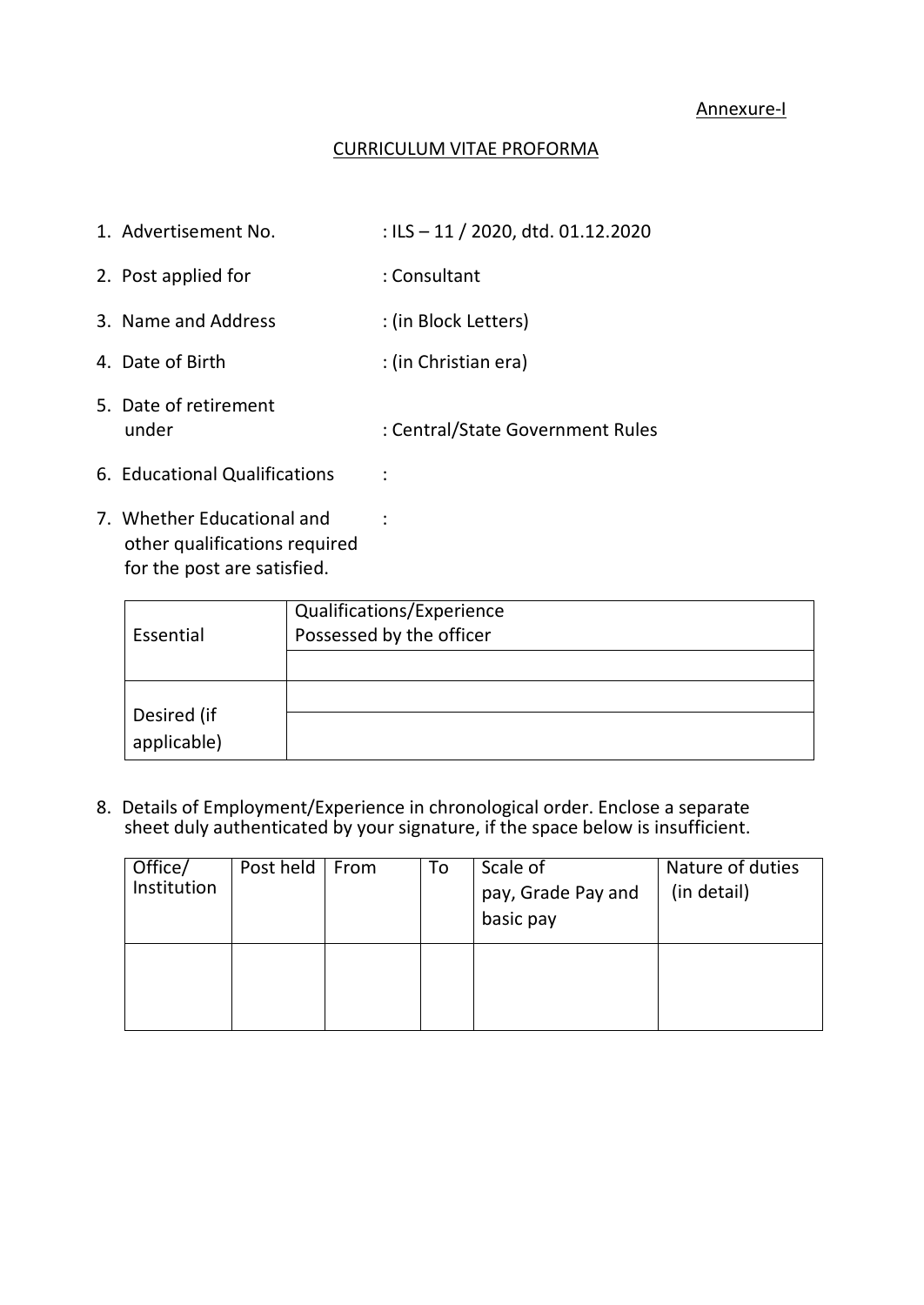## CURRICULUM VITAE PROFORMA

| 1. Advertisement No.           | : ILS $-11/2020$ , dtd. 01.12.2020 |
|--------------------------------|------------------------------------|
| 2. Post applied for            | : Consultant                       |
| 3. Name and Address            | : (in Block Letters)               |
| 4. Date of Birth               | : (in Christian era)               |
| 5. Date of retirement<br>under | : Central/State Government Rules   |
| 6. Educational Qualifications  |                                    |

7. Whether Educational and : other qualifications required for the post are satisfied.

|             | Qualifications/Experience |
|-------------|---------------------------|
| Essential   | Possessed by the officer  |
|             |                           |
|             |                           |
| Desired (if |                           |
| applicable) |                           |

8. Details of Employment/Experience in chronological order. Enclose a separate sheet duly authenticated by your signature, if the space below is insufficient.

| Office/     | Post held | From | To | Scale of           | Nature of duties |
|-------------|-----------|------|----|--------------------|------------------|
| Institution |           |      |    | pay, Grade Pay and | (in detail)      |
|             |           |      |    | basic pay          |                  |
|             |           |      |    |                    |                  |
|             |           |      |    |                    |                  |
|             |           |      |    |                    |                  |